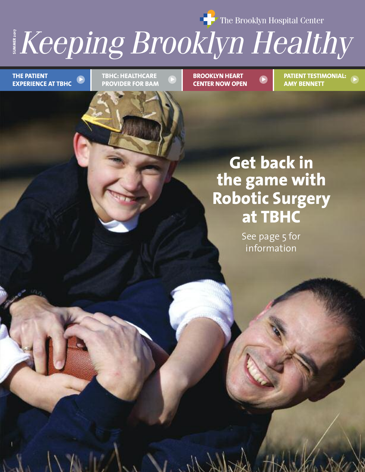**The Brooklyn Hospital Center** 

# $\dot{\text{e}}$  ing  $\dot{\text{B}}$ n **Healthy**<br> **Healthy**

**THE PATIENT EXPERIENCE AT TBHC** **PROVIDER FOR BAM**

**BROOKLYN HEART CENTER NOW OPEN**

**PATIENT TESTIMONIAL: AMY BENNETT TBHC: HEALTHCARE BROOKLYN HEART PATIENT TESTIMONIAL:** 

# **Get back in the game with Robotic Surgery at TBHC**

See page 5 for information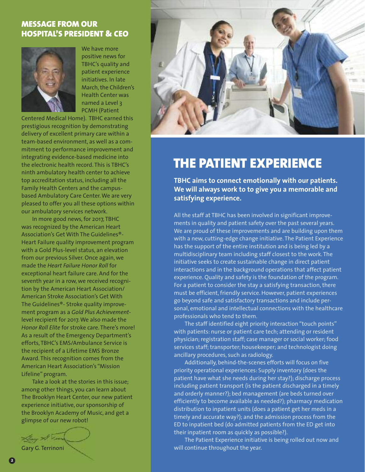#### **MESSAGE FROM OUR HOSPITAL'S PRESIDENT & CEO**



We have more positive news for TBHC's quality and patient experience initiatives. In late March, the Children's Health Center was named a Level 3 PCMH (Patient

Centered Medical Home). TBHC earned this prestigious recognition by demonstrating delivery of excellent primary care within a team-based environment, as well as a commitment to performance improvement and integrating evidence-based medicine into the electronic health record. This is TBHC's ninth ambulatory health center to achieve top accreditation status, including all the Family Health Centers and the campusbased Ambulatory Care Center. We are very pleased to offer you all these options within our ambulatory services network.

In more good news, for 2017, TBHC was recognized by the American Heart Association's Get With The Guidelines®- Heart Failure quality improvement program with a Gold Plus-level status, an elevation from our previous Silver. Once again, we made the *Heart Failure Honor Roll* for exceptional heart failure care. And for the seventh year in a row, we received recognition by the American Heart Association/ American Stroke Association's Get With The Guidelines®- Stroke quality improvement program as a *Gold Plus Achievement*level recipient for 2017. We also made the *Honor Roll Elite* for stroke care. There's more! As a result of the Emergency Department's efforts, TBHC's EMS/Ambulance Service is the recipient of a Lifetime EMS Bronze Award. This recognition comes from the American Heart Association's "Mission Lifeline" program.

Take a look at the stories in this issue; among other things, you can learn about The Brooklyn Heart Center, our new patient experience initiative, our sponsorship of the Brooklyn Academy of Music, and get a glimpse of our new robot!





### **THE PATIENT EXPERIENCE**

**TBHC aims to connect emotionally with our patients. We will always work to to give you a memorable and satisfying experience.** 

All the staff at TBHC has been involved in significant improvements in quality and patient safety over the past several years. We are proud of these improvements and are building upon them with a new, cutting-edge change initiative. The Patient Experience has the support of the entire institution and is being led by a multidisciplinary team including staff closest to the work. The initiative seeks to create sustainable change in direct patient interactions and in the background operations that affect patient experience. Quality and safety is the foundation of the program. For a patient to consider the stay a satisfying transaction, there must be efficient, friendly service. However, patient experiences go beyond safe and satisfactory transactions and include personal, emotional and intellectual connections with the healthcare professionals who tend to them.

The staff identified eight priority interaction "touch points" with patients: nurse or patient care tech; attending or resident physician; registration staff; case manager or social worker; food services staff; transporter; housekeeper; and technologist doing ancillary procedures, such as radiology.

Additionally, behind-the-scenes efforts will focus on five priority operational experiences: Supply inventory (does the patient have what she needs during her stay?); discharge process including patient transport (is the patient discharged in a timely and orderly manner?); bed management (are beds turned over efficiently to become available as needed?); pharmacy medication distribution to inpatient units (does a patient get her meds in a timely and accurate way?); and the admission process from the ED to inpatient bed (do admitted patients from the ED get into their inpatient room as quickly as possible?).

The Patient Experience initiative is being rolled out now and will continue throughout the year.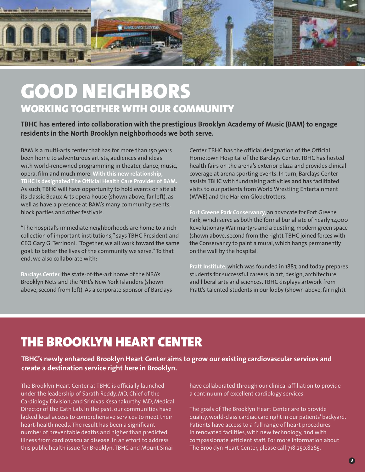

# **GOOD NEIGHBORS WORKING TOGETHER WITH OUR COMMUNITY**

**TBHC has entered into collaboration with the prestigious Brooklyn Academy of Music (BAM) to engage residents in the North Brooklyn neighborhoods we both serve.** 

BAM is a multi-arts center that has for more than 150 years been home to adventurous artists, audiences and ideas with world-renowned programming in theater, dance, music, opera, film and much more. **With this new relationship, TBHC is designated The Official Health Care Provider of BAM.** As such, TBHC will have opportunity to hold events on site at its classic Beaux Arts opera house (shown above, far left), as well as have a presence at BAM's many community events, block parties and other festivals.

"The hospital's immediate neighborhoods are home to a rich collection of important institutions," says TBHC President and CEO Gary G. Terrinoni. "Together, we all work toward the same goal: to better the lives of the community we serve." To that end, we also collaborate with:

**Barclays Center,** the state-of-the-art home of the NBA's Brooklyn Nets and the NHL's New York Islanders (shown above, second from left). As a corporate sponsor of Barclays Center, TBHC has the official designation of the Official Hometown Hospital of the Barclays Center. TBHC has hosted health fairs on the arena's exterior plaza and provides clinical coverage at arena sporting events. In turn, Barclays Center assists TBHC with fundraising activities and has facilitated visits to our patients from World Wrestling Entertainment (WWE) and the Harlem Globetrotters.

**Fort Greene Park Conservancy,** an advocate for Fort Greene Park, which serve as both the formal burial site of nearly 12,000 Revolutionary War martyrs and a bustling, modern green space (shown above, second from the right). TBHC joined forces with the Conservancy to paint a mural, which hangs permanently on the wall by the hospital.

**Pratt Institute,** which was founded in 1887, and today prepares students for successful careers in art, design, architecture, and liberal arts and sciences. TBHC displays artwork from Pratt's talented students in our lobby (shown above, far right).

### **THE BROOKLYN HEART CENTER**

**TBHC's newly enhanced Brooklyn Heart Center aims to grow our existing cardiovascular services and create a destination service right here in Brooklyn.** 

The Brooklyn Heart Center at TBHC is officially launched under the leadership of Sarath Reddy, MD, Chief of the Cardiology Division, and Srinivas Kesanakurthy, MD, Medical Director of the Cath Lab. In the past, our communities have lacked local access to comprehensive services to meet their heart-health needs. The result has been a significant number of preventable deaths and higher than predicted illness from cardiovascular disease. In an effort to address this public health issue for Brooklyn, TBHC and Mount Sinai

have collaborated through our clinical affiliation to provide a continuum of excellent cardiology services.

The goals of The Brooklyn Heart Center are to provide quality, world-class cardiac care right in our patients' backyard. Patients have access to a full range of heart procedures in renovated facilities, with new technology, and with compassionate, efficient staff. For more information about The Brooklyn Heart Center, please call 718.250.8265.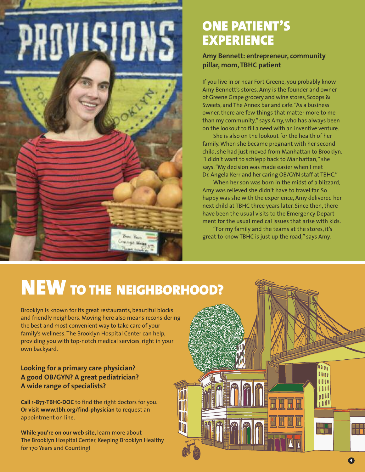

### **ONE PATIENT'S EXPERIENCE**

**Amy Bennett: entrepreneur, community pillar, mom, TBHC patient**

If you live in or near Fort Greene, you probably know Amy Bennett's stores. Amy is the founder and owner of Greene Grape grocery and wine stores, Scoops & Sweets, and The Annex bar and cafe. "As a business owner, there are few things that matter more to me than my community," says Amy, who has always been on the lookout to fill a need with an inventive venture.

She is also on the lookout for the health of her family. When she became pregnant with her second child, she had just moved from Manhattan to Brooklyn. "I didn't want to schlepp back to Manhattan," she says. "My decision was made easier when I met Dr. Angela Kerr and her caring OB/GYN staff at TBHC."

When her son was born in the midst of a blizzard, Amy was relieved she didn't have to travel far. So happy was she with the experience, Amy delivered her next child at TBHC three years later. Since then, there have been the usual visits to the Emergency Department for the usual medical issues that arise with kids.

"For my family and the teams at the stores, it's great to know TBHC is just up the road," says Amy.

# **NEW TO THE NEIGHBORHOOD?**

Brooklyn is known for its great restaurants, beautiful blocks and friendly neighbors. Moving here also means reconsidering the best and most convenient way to take care of your family's wellness. The Brooklyn Hospital Center can help, providing you with top-notch medical services, right in your own backyard.

#### **Looking for a primary care physician? A good OB/GYN? A great pediatrician? A wide range of specialists?**

**Call 1-877-TBHC-DOC** to find the right doctors for you. **Or visit www.tbh.org/find-physician** to request an appointment on line.

**While you're on our web site,** learn more about The Brooklyn Hospital Center, Keeping Brooklyn Healthy for 170 Years and Counting!

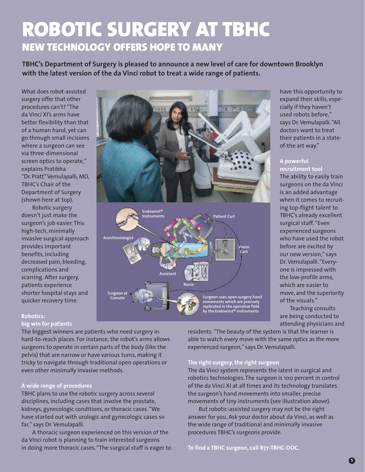# **ROBOTIC SURGERY AT TBHC NEW TECHNOLOGY OFFERS HOPE TO MANY**

**TBHC's Department of Surgery is pleased to announce a new level of care for downtown Brooklyn with the latest version of the da Vinci robot to treat a wide range of patients.**

What does robot-assisted surgery offer that other procedures can't? "The da Vinci XI's arms have better flexibility than that of a human hand, yet can go through small incisions where a surgeon can see via three-dimensional screen optics to operate," explains Pratibha "Dr. Pratt" Vemulapalli, MD, TBHC's Chair of the Department of Surgery (shown here at top).

Robotic surgery doesn't just make the surgeon's job easier. This high-tech, minimally invasive surgical approach provides important benefits, including decreased pain, bleeding, complications and scarring. After surgery, patients experience shorter hospital stays and quicker recovery time.



have this opportunity to expand their skills, especially if they haven't used robots before," says Dr. Vemulapalli. "All doctors want to treat their patients in a stateof-the art way."

#### **A powerful**

**recruitment tool**  The ability to easily train surgeons on the da Vinci is an added advantage when it comes to recruiting top-flight talent to TBHC's already excellent surgical staff. "Even experienced surgeons who have used the robot before are excited by our new version," says Dr. Vemulapalli. "Everyone is impressed with the low-profile arms, which are easier to move, and the superiority of the visuals."

Teaching consults are being conducted to attending physicians and

#### **Robotics: big win for patients**

The biggest winners are patients who need surgery in hard-to-reach places. For instance, the robot's arms allows surgeons to operate in certain parts of the body (like the pelvis) that are narrow or have various turns, making it tricky to navigate through traditional open operations or even other minimally invasive methods.

#### **A wide range of procedures**

TBHC plans to use the robotic surgery across several disciplines, including cases that involve the prostate, kidneys, gynecologic conditions, or thoracic cases. "We have started out with urologic and gynecologic cases so far," says Dr. Vemulapalli.

A thoracic surgeon experienced on this version of the da Vinci robot is planning to train interested surgeons in doing more thoracic cases. "The surgical staff is eager to

residents. "The beauty of the system is that the learner is able to watch every move with the same optics as the more experienced surgeon," says Dr. Vemulapalli.

#### **The right surgery, the right surgeon**

The da Vinci system represents the latest in surgical and robotics technologies. The surgeon is 100 percent in control of the da Vinci XI at all times and its technology translates the surgeon's hand movements into smaller, precise movements of tiny instruments (see illustration above).

But robotic-assisted surgery may not be the right answer for you. Ask your doctor about da Vinci, as well as the wide range of traditional and minimally invasive procedures TBHC's surgeons provide.

**To find a TBHC surgeon, call 877-TBHC-DOC.**